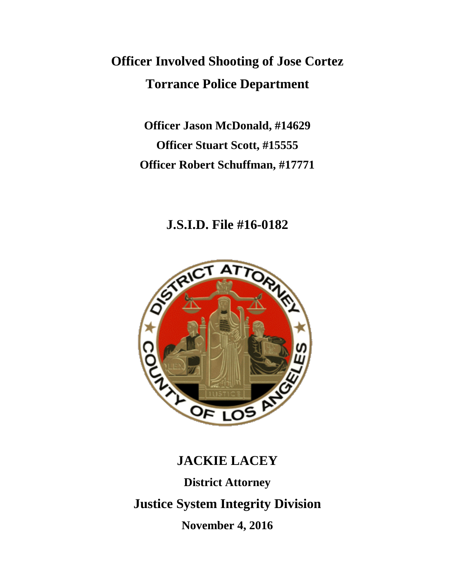# **Officer Involved Shooting of Jose Cortez Torrance Police Department**

**Officer Jason McDonald, #14629 Officer Stuart Scott, #15555 Officer Robert Schuffman, #17771**

### **J.S.I.D. File #16-0182**



## **JACKIE LACEY**

**District Attorney Justice System Integrity Division November 4, 2016**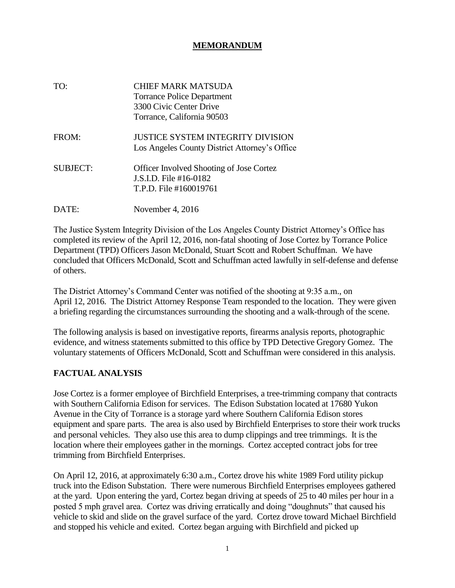#### **MEMORANDUM**

| TO:             | CHIEF MARK MATSUDA<br><b>Torrance Police Department</b><br>3300 Civic Center Drive<br>Torrance, California 90503 |
|-----------------|------------------------------------------------------------------------------------------------------------------|
| FROM:           | <b>JUSTICE SYSTEM INTEGRITY DIVISION</b><br>Los Angeles County District Attorney's Office                        |
| <b>SUBJECT:</b> | <b>Officer Involved Shooting of Jose Cortez</b><br>J.S.I.D. File #16-0182<br>T.P.D. File #160019761              |
| DAT             | November 4, 2016                                                                                                 |

The Justice System Integrity Division of the Los Angeles County District Attorney's Office has completed its review of the April 12, 2016, non-fatal shooting of Jose Cortez by Torrance Police Department (TPD) Officers Jason McDonald, Stuart Scott and Robert Schuffman. We have concluded that Officers McDonald, Scott and Schuffman acted lawfully in self-defense and defense of others.

The District Attorney's Command Center was notified of the shooting at 9:35 a.m., on April 12, 2016. The District Attorney Response Team responded to the location. They were given a briefing regarding the circumstances surrounding the shooting and a walk-through of the scene.

The following analysis is based on investigative reports, firearms analysis reports, photographic evidence, and witness statements submitted to this office by TPD Detective Gregory Gomez. The voluntary statements of Officers McDonald, Scott and Schuffman were considered in this analysis.

### **FACTUAL ANALYSIS**

Jose Cortez is a former employee of Birchfield Enterprises, a tree-trimming company that contracts with Southern California Edison for services. The Edison Substation located at 17680 Yukon Avenue in the City of Torrance is a storage yard where Southern California Edison stores equipment and spare parts. The area is also used by Birchfield Enterprises to store their work trucks and personal vehicles. They also use this area to dump clippings and tree trimmings. It is the location where their employees gather in the mornings. Cortez accepted contract jobs for tree trimming from Birchfield Enterprises.

On April 12, 2016, at approximately 6:30 a.m., Cortez drove his white 1989 Ford utility pickup truck into the Edison Substation. There were numerous Birchfield Enterprises employees gathered at the yard. Upon entering the yard, Cortez began driving at speeds of 25 to 40 miles per hour in a posted 5 mph gravel area. Cortez was driving erratically and doing "doughnuts" that caused his vehicle to skid and slide on the gravel surface of the yard. Cortez drove toward Michael Birchfield and stopped his vehicle and exited. Cortez began arguing with Birchfield and picked up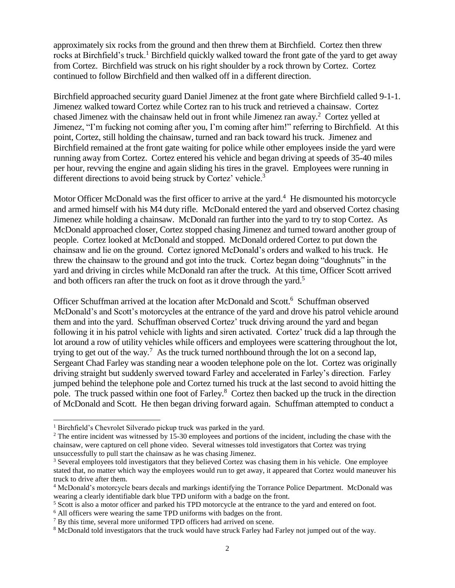approximately six rocks from the ground and then threw them at Birchfield. Cortez then threw rocks at Birchfield's truck.<sup>1</sup> Birchfield quickly walked toward the front gate of the yard to get away from Cortez. Birchfield was struck on his right shoulder by a rock thrown by Cortez. Cortez continued to follow Birchfield and then walked off in a different direction.

Birchfield approached security guard Daniel Jimenez at the front gate where Birchfield called 9-1-1. Jimenez walked toward Cortez while Cortez ran to his truck and retrieved a chainsaw. Cortez chased Jimenez with the chainsaw held out in front while Jimenez ran away.<sup>2</sup> Cortez yelled at Jimenez, "I'm fucking not coming after you, I'm coming after him!" referring to Birchfield. At this point, Cortez, still holding the chainsaw, turned and ran back toward his truck. Jimenez and Birchfield remained at the front gate waiting for police while other employees inside the yard were running away from Cortez. Cortez entered his vehicle and began driving at speeds of 35-40 miles per hour, revving the engine and again sliding his tires in the gravel. Employees were running in different directions to avoid being struck by Cortez' vehicle.<sup>3</sup>

Motor Officer McDonald was the first officer to arrive at the yard. $4$  He dismounted his motorcycle and armed himself with his M4 duty rifle. McDonald entered the yard and observed Cortez chasing Jimenez while holding a chainsaw. McDonald ran further into the yard to try to stop Cortez. As McDonald approached closer, Cortez stopped chasing Jimenez and turned toward another group of people. Cortez looked at McDonald and stopped. McDonald ordered Cortez to put down the chainsaw and lie on the ground. Cortez ignored McDonald's orders and walked to his truck. He threw the chainsaw to the ground and got into the truck. Cortez began doing "doughnuts" in the yard and driving in circles while McDonald ran after the truck. At this time, Officer Scott arrived and both officers ran after the truck on foot as it drove through the yard.<sup>5</sup>

Officer Schuffman arrived at the location after McDonald and Scott.<sup>6</sup> Schuffman observed McDonald's and Scott's motorcycles at the entrance of the yard and drove his patrol vehicle around them and into the yard. Schuffman observed Cortez' truck driving around the yard and began following it in his patrol vehicle with lights and siren activated. Cortez' truck did a lap through the lot around a row of utility vehicles while officers and employees were scattering throughout the lot, trying to get out of the way.<sup>7</sup> As the truck turned northbound through the lot on a second lap, Sergeant Chad Farley was standing near a wooden telephone pole on the lot. Cortez was originally driving straight but suddenly swerved toward Farley and accelerated in Farley's direction. Farley jumped behind the telephone pole and Cortez turned his truck at the last second to avoid hitting the pole. The truck passed within one foot of Farley.<sup>8</sup> Cortez then backed up the truck in the direction of McDonald and Scott. He then began driving forward again. Schuffman attempted to conduct a

<sup>&</sup>lt;sup>1</sup> Birchfield's Chevrolet Silverado pickup truck was parked in the yard.

<sup>&</sup>lt;sup>2</sup> The entire incident was witnessed by 15-30 employees and portions of the incident, including the chase with the chainsaw, were captured on cell phone video. Several witnesses told investigators that Cortez was trying unsuccessfully to pull start the chainsaw as he was chasing Jimenez.

<sup>&</sup>lt;sup>3</sup> Several employees told investigators that they believed Cortez was chasing them in his vehicle. One employee stated that, no matter which way the employees would run to get away, it appeared that Cortez would maneuver his truck to drive after them.

<sup>4</sup> McDonald's motorcycle bears decals and markings identifying the Torrance Police Department. McDonald was wearing a clearly identifiable dark blue TPD uniform with a badge on the front.

<sup>&</sup>lt;sup>5</sup> Scott is also a motor officer and parked his TPD motorcycle at the entrance to the yard and entered on foot.

<sup>&</sup>lt;sup>6</sup> All officers were wearing the same TPD uniforms with badges on the front.

<sup>&</sup>lt;sup>7</sup> By this time, several more uniformed TPD officers had arrived on scene.

<sup>&</sup>lt;sup>8</sup> McDonald told investigators that the truck would have struck Farley had Farley not jumped out of the way.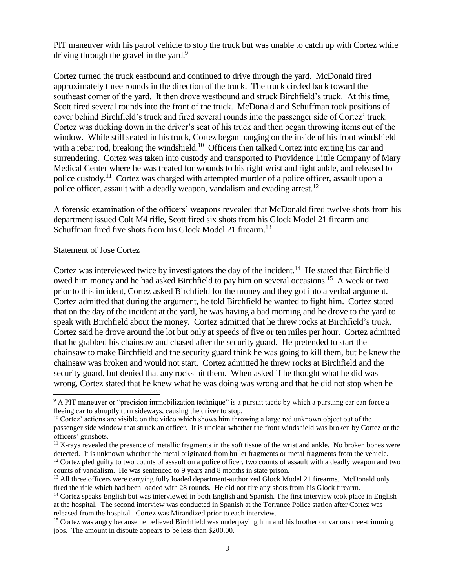PIT maneuver with his patrol vehicle to stop the truck but was unable to catch up with Cortez while driving through the gravel in the yard. $9$ 

Cortez turned the truck eastbound and continued to drive through the yard. McDonald fired approximately three rounds in the direction of the truck. The truck circled back toward the southeast corner of the yard. It then drove westbound and struck Birchfield's truck. At this time, Scott fired several rounds into the front of the truck. McDonald and Schuffman took positions of cover behind Birchfield's truck and fired several rounds into the passenger side of Cortez' truck. Cortez was ducking down in the driver's seat of his truck and then began throwing items out of the window. While still seated in his truck, Cortez began banging on the inside of his front windshield with a rebar rod, breaking the windshield.<sup>10</sup> Officers then talked Cortez into exiting his car and surrendering. Cortez was taken into custody and transported to Providence Little Company of Mary Medical Center where he was treated for wounds to his right wrist and right ankle, and released to police custody.<sup>11</sup> Cortez was charged with attempted murder of a police officer, assault upon a police officer, assault with a deadly weapon, vandalism and evading arrest.<sup>12</sup>

A forensic examination of the officers' weapons revealed that McDonald fired twelve shots from his department issued Colt M4 rifle, Scott fired six shots from his Glock Model 21 firearm and Schuffman fired five shots from his Glock Model 21 firearm.<sup>13</sup>

#### Statement of Jose Cortez

Cortez was interviewed twice by investigators the day of the incident.<sup>14</sup> He stated that Birchfield owed him money and he had asked Birchfield to pay him on several occasions.<sup>15</sup> A week or two prior to this incident, Cortez asked Birchfield for the money and they got into a verbal argument. Cortez admitted that during the argument, he told Birchfield he wanted to fight him. Cortez stated that on the day of the incident at the yard, he was having a bad morning and he drove to the yard to speak with Birchfield about the money. Cortez admitted that he threw rocks at Birchfield's truck. Cortez said he drove around the lot but only at speeds of five or ten miles per hour. Cortez admitted that he grabbed his chainsaw and chased after the security guard. He pretended to start the chainsaw to make Birchfield and the security guard think he was going to kill them, but he knew the chainsaw was broken and would not start. Cortez admitted he threw rocks at Birchfield and the security guard, but denied that any rocks hit them. When asked if he thought what he did was wrong, Cortez stated that he knew what he was doing was wrong and that he did not stop when he

<sup>&</sup>lt;sup>9</sup> A PIT maneuver or "precision immobilization technique" is a pursuit tactic by which a pursuing car can force a fleeing car to abruptly turn sideways, causing the driver to stop.

 $10$  Cortez' actions are visible on the video which shows him throwing a large red unknown object out of the passenger side window that struck an officer. It is unclear whether the front windshield was broken by Cortez or the officers' gunshots.

<sup>&</sup>lt;sup>11</sup> X-rays revealed the presence of metallic fragments in the soft tissue of the wrist and ankle. No broken bones were detected. It is unknown whether the metal originated from bullet fragments or metal fragments from the vehicle.  $12$  Cortez pled guilty to two counts of assault on a police officer, two counts of assault with a deadly weapon and two counts of vandalism. He was sentenced to 9 years and 8 months in state prison.

<sup>&</sup>lt;sup>13</sup> All three officers were carrying fully loaded department-authorized Glock Model 21 firearms. McDonald only fired the rifle which had been loaded with 28 rounds. He did not fire any shots from his Glock firearm.

<sup>&</sup>lt;sup>14</sup> Cortez speaks English but was interviewed in both English and Spanish. The first interview took place in English at the hospital. The second interview was conducted in Spanish at the Torrance Police station after Cortez was released from the hospital. Cortez was Mirandized prior to each interview.

<sup>&</sup>lt;sup>15</sup> Cortez was angry because he believed Birchfield was underpaying him and his brother on various tree-trimming jobs. The amount in dispute appears to be less than \$200.00.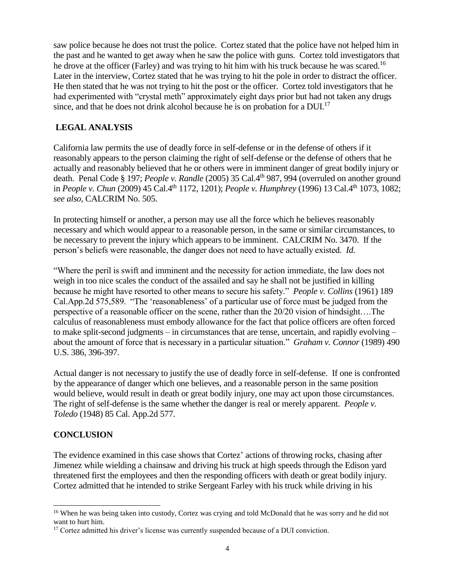saw police because he does not trust the police. Cortez stated that the police have not helped him in the past and he wanted to get away when he saw the police with guns. Cortez told investigators that he drove at the officer (Farley) and was trying to hit him with his truck because he was scared.<sup>16</sup> Later in the interview, Cortez stated that he was trying to hit the pole in order to distract the officer. He then stated that he was not trying to hit the post or the officer. Cortez told investigators that he had experimented with "crystal meth" approximately eight days prior but had not taken any drugs since, and that he does not drink alcohol because he is on probation for a  $DUI<sup>17</sup>$ 

#### **LEGAL ANALYSIS**

California law permits the use of deadly force in self-defense or in the defense of others if it reasonably appears to the person claiming the right of self-defense or the defense of others that he actually and reasonably believed that he or others were in imminent danger of great bodily injury or death. Penal Code § 197; *People v. Randle* (2005) 35 Cal.4th 987, 994 (overruled on another ground in *People v. Chun* (2009) 45 Cal.4<sup>th</sup> 1172, 1201); *People v. Humphrey* (1996) 13 Cal.4<sup>th</sup> 1073, 1082; *see also,* CALCRIM No. 505.

In protecting himself or another, a person may use all the force which he believes reasonably necessary and which would appear to a reasonable person, in the same or similar circumstances, to be necessary to prevent the injury which appears to be imminent. CALCRIM No. 3470. If the person's beliefs were reasonable, the danger does not need to have actually existed. *Id.*

"Where the peril is swift and imminent and the necessity for action immediate, the law does not weigh in too nice scales the conduct of the assailed and say he shall not be justified in killing because he might have resorted to other means to secure his safety." *People v. Collins* (1961) 189 Cal.App.2d 575,589. "The 'reasonableness' of a particular use of force must be judged from the perspective of a reasonable officer on the scene, rather than the 20/20 vision of hindsight….The calculus of reasonableness must embody allowance for the fact that police officers are often forced to make split-second judgments – in circumstances that are tense, uncertain, and rapidly evolving – about the amount of force that is necessary in a particular situation." *Graham v. Connor* (1989) 490 U.S. 386, 396-397.

Actual danger is not necessary to justify the use of deadly force in self-defense. If one is confronted by the appearance of danger which one believes, and a reasonable person in the same position would believe, would result in death or great bodily injury, one may act upon those circumstances. The right of self-defense is the same whether the danger is real or merely apparent. *People v. Toledo* (1948) 85 Cal. App.2d 577.

### **CONCLUSION**

The evidence examined in this case shows that Cortez' actions of throwing rocks, chasing after Jimenez while wielding a chainsaw and driving his truck at high speeds through the Edison yard threatened first the employees and then the responding officers with death or great bodily injury. Cortez admitted that he intended to strike Sergeant Farley with his truck while driving in his

<sup>&</sup>lt;sup>16</sup> When he was being taken into custody, Cortez was crying and told McDonald that he was sorry and he did not want to hurt him.

<sup>&</sup>lt;sup>17</sup> Cortez admitted his driver's license was currently suspended because of a DUI conviction.